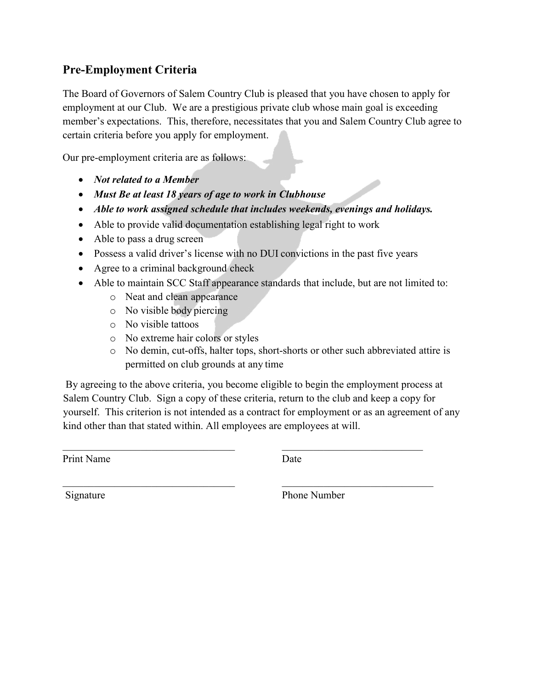## Pre-Employment Criteria

The Board of Governors of Salem Country Club is pleased that you have chosen to apply for employment at our Club. We are a prestigious private club whose main goal is exceeding member's expectations. This, therefore, necessitates that you and Salem Country Club agree to certain criteria before you apply for employment.

Our pre-employment criteria are as follows:

- *Not related to a Member*
- *Must Be at least 18 years of age to work in Clubhouse*
- *Able to work assigned schedule that includes weekends, evenings and holidays.*
- Able to provide valid documentation establishing legal right to work
- Able to pass a drug screen
- Possess a valid driver's license with no DUI convictions in the past five years
- Agree to a criminal background check
- Able to maintain SCC Staff appearance standards that include, but are not limited to:
	- o Neat and clean appearance
	- o No visible body piercing
	- o No visible tattoos
	- o No extreme hair colors or styles
	- o No demin, cut-offs, halter tops, short-shorts or other such abbreviated attire is permitted on club grounds at any time

By agreeing to the above criteria, you become eligible to begin the employment process at Salem Country Club. Sign a copy of these criteria, return to the club and keep a copy for yourself. This criterion is not intended as a contract for employment or as an agreement of any kind other than that stated within. All employees are employees at will.

 $\_$  , and the set of the set of the set of the set of the set of the set of the set of the set of the set of the set of the set of the set of the set of the set of the set of the set of the set of the set of the set of th

 $\_$  , and the contribution of the contribution of  $\mathcal{L}_\mathcal{A}$  , and the contribution of  $\mathcal{L}_\mathcal{A}$ 

Print Name Date

Signature Phone Number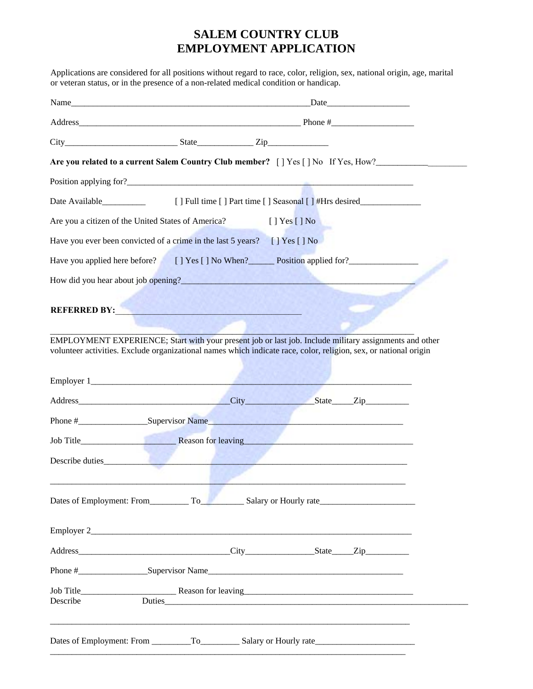## **SALEM COUNTRY CLUB EMPLOYMENT APPLICATION**

Applications are considered for all positions without regard to race, color, religion, sex, national origin, age, marital

| or veteran status, or in the presence of a non-related medical condition or handicap.                                                                                                                                                 |                                                                                                                      |                    |                                                                                  |  |
|---------------------------------------------------------------------------------------------------------------------------------------------------------------------------------------------------------------------------------------|----------------------------------------------------------------------------------------------------------------------|--------------------|----------------------------------------------------------------------------------|--|
|                                                                                                                                                                                                                                       |                                                                                                                      |                    |                                                                                  |  |
|                                                                                                                                                                                                                                       |                                                                                                                      |                    |                                                                                  |  |
| $City$ $City$ $Size$ $Type$                                                                                                                                                                                                           |                                                                                                                      |                    |                                                                                  |  |
| Are you related to a current Salem Country Club member? [ ] Yes [ ] No If Yes, How?                                                                                                                                                   |                                                                                                                      |                    |                                                                                  |  |
|                                                                                                                                                                                                                                       |                                                                                                                      |                    |                                                                                  |  |
| Date Available<br><u>Letter</u>                                                                                                                                                                                                       |                                                                                                                      |                    | [] Full time [] Part time [] Seasonal [] #Hrs desired___________________________ |  |
| Are you a citizen of the United States of America?                                                                                                                                                                                    | <b>Contractor</b>                                                                                                    | $[$ ] Yes $[$ ] No |                                                                                  |  |
| Have you ever been convicted of a crime in the last 5 years? [] Yes [] No                                                                                                                                                             |                                                                                                                      |                    |                                                                                  |  |
| Have you applied here before? [] Yes [] No When? Position applied for?                                                                                                                                                                |                                                                                                                      |                    |                                                                                  |  |
| How did you hear about job opening?<br><u>Interviewed</u> the contract of the contract of the contract of the contract of the contract of the contract of the contract of the contract of the contract of the contract of the contrac |                                                                                                                      |                    |                                                                                  |  |
| <b>REFERRED BY:</b> The contract of the contract of the contract of the contract of the contract of the contract of the contract of the contract of the contract of the contract of the contract of the contract of the contract of   |                                                                                                                      |                    |                                                                                  |  |
| EMPLOYMENT EXPERIENCE; Start with your present job or last job. Include military assignments and other<br>volunteer activities. Exclude organizational names which indicate race, color, religion, sex, or national origin            |                                                                                                                      |                    |                                                                                  |  |
|                                                                                                                                                                                                                                       |                                                                                                                      |                    |                                                                                  |  |
|                                                                                                                                                                                                                                       |                                                                                                                      |                    |                                                                                  |  |
|                                                                                                                                                                                                                                       |                                                                                                                      |                    |                                                                                  |  |
|                                                                                                                                                                                                                                       |                                                                                                                      |                    |                                                                                  |  |
| Describe duties                                                                                                                                                                                                                       | the company of the company of the company of the company of the company of the company of the company of the company |                    |                                                                                  |  |
| Dates of Employment: From To Salary or Hourly rate                                                                                                                                                                                    |                                                                                                                      |                    |                                                                                  |  |
|                                                                                                                                                                                                                                       |                                                                                                                      |                    |                                                                                  |  |
|                                                                                                                                                                                                                                       |                                                                                                                      |                    |                                                                                  |  |
|                                                                                                                                                                                                                                       |                                                                                                                      |                    |                                                                                  |  |
| Describe                                                                                                                                                                                                                              |                                                                                                                      |                    |                                                                                  |  |
|                                                                                                                                                                                                                                       |                                                                                                                      |                    |                                                                                  |  |